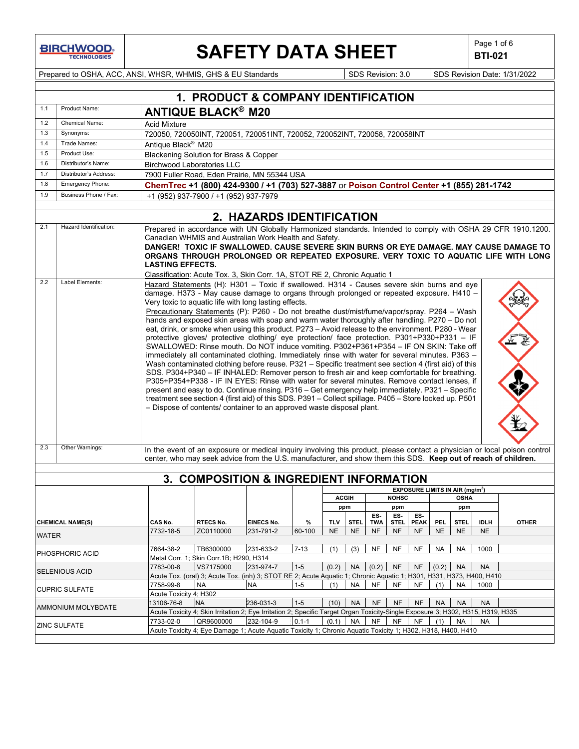# **SAFETY DATA SHEET**  $\left|\begin{array}{c} \text{Page 1 of 6} \\ \text{BIT-021} \end{array}\right|$

**BTI-021**

Prepared to OSHA, ACC, ANSI, WHSR, WHMIS, GHS & EU Standards Superinted SDS Revision: 3.0 SDS Revision Date: 1/31/2022

|                                                                                                                                     |                                    |                                                                                                                                                                                                                                                                                                                                                                                                                                                                                                                                                                                                                                                                                                                                                                                                                                                                                                                                                                                                                                                                                                                                                                                                                                                                                                                                                                                                                                                  | 1. PRODUCT & COMPANY IDENTIFICATION                                                                                                |                           |           |            |              |           |                            |             |            |                                             |             |                                                                                                                                                                                                                                                                                               |
|-------------------------------------------------------------------------------------------------------------------------------------|------------------------------------|--------------------------------------------------------------------------------------------------------------------------------------------------------------------------------------------------------------------------------------------------------------------------------------------------------------------------------------------------------------------------------------------------------------------------------------------------------------------------------------------------------------------------------------------------------------------------------------------------------------------------------------------------------------------------------------------------------------------------------------------------------------------------------------------------------------------------------------------------------------------------------------------------------------------------------------------------------------------------------------------------------------------------------------------------------------------------------------------------------------------------------------------------------------------------------------------------------------------------------------------------------------------------------------------------------------------------------------------------------------------------------------------------------------------------------------------------|------------------------------------------------------------------------------------------------------------------------------------|---------------------------|-----------|------------|--------------|-----------|----------------------------|-------------|------------|---------------------------------------------|-------------|-----------------------------------------------------------------------------------------------------------------------------------------------------------------------------------------------------------------------------------------------------------------------------------------------|
| 1.1                                                                                                                                 | Product Name:                      |                                                                                                                                                                                                                                                                                                                                                                                                                                                                                                                                                                                                                                                                                                                                                                                                                                                                                                                                                                                                                                                                                                                                                                                                                                                                                                                                                                                                                                                  | <b>ANTIQUE BLACK® M20</b>                                                                                                          |                           |           |            |              |           |                            |             |            |                                             |             |                                                                                                                                                                                                                                                                                               |
| 1.2                                                                                                                                 | Chemical Name:                     | <b>Acid Mixture</b>                                                                                                                                                                                                                                                                                                                                                                                                                                                                                                                                                                                                                                                                                                                                                                                                                                                                                                                                                                                                                                                                                                                                                                                                                                                                                                                                                                                                                              |                                                                                                                                    |                           |           |            |              |           |                            |             |            |                                             |             |                                                                                                                                                                                                                                                                                               |
| 1.3                                                                                                                                 | Synonyms:                          |                                                                                                                                                                                                                                                                                                                                                                                                                                                                                                                                                                                                                                                                                                                                                                                                                                                                                                                                                                                                                                                                                                                                                                                                                                                                                                                                                                                                                                                  | 720050, 720050INT, 720051, 720051INT, 720052, 720052INT, 720058, 720058INT                                                         |                           |           |            |              |           |                            |             |            |                                             |             |                                                                                                                                                                                                                                                                                               |
| 1.4                                                                                                                                 | Trade Names:                       | Antique Black <sup>®</sup> M20                                                                                                                                                                                                                                                                                                                                                                                                                                                                                                                                                                                                                                                                                                                                                                                                                                                                                                                                                                                                                                                                                                                                                                                                                                                                                                                                                                                                                   |                                                                                                                                    |                           |           |            |              |           |                            |             |            |                                             |             |                                                                                                                                                                                                                                                                                               |
| 1.5                                                                                                                                 | Product Use:                       |                                                                                                                                                                                                                                                                                                                                                                                                                                                                                                                                                                                                                                                                                                                                                                                                                                                                                                                                                                                                                                                                                                                                                                                                                                                                                                                                                                                                                                                  | Blackening Solution for Brass & Copper                                                                                             |                           |           |            |              |           |                            |             |            |                                             |             |                                                                                                                                                                                                                                                                                               |
| 1.6                                                                                                                                 | Distributor's Name:                |                                                                                                                                                                                                                                                                                                                                                                                                                                                                                                                                                                                                                                                                                                                                                                                                                                                                                                                                                                                                                                                                                                                                                                                                                                                                                                                                                                                                                                                  | <b>Birchwood Laboratories LLC</b>                                                                                                  |                           |           |            |              |           |                            |             |            |                                             |             |                                                                                                                                                                                                                                                                                               |
| 1.7                                                                                                                                 | Distributor's Address:             |                                                                                                                                                                                                                                                                                                                                                                                                                                                                                                                                                                                                                                                                                                                                                                                                                                                                                                                                                                                                                                                                                                                                                                                                                                                                                                                                                                                                                                                  | 7900 Fuller Road, Eden Prairie, MN 55344 USA                                                                                       |                           |           |            |              |           |                            |             |            |                                             |             |                                                                                                                                                                                                                                                                                               |
| 1.8                                                                                                                                 | Emergency Phone:                   |                                                                                                                                                                                                                                                                                                                                                                                                                                                                                                                                                                                                                                                                                                                                                                                                                                                                                                                                                                                                                                                                                                                                                                                                                                                                                                                                                                                                                                                  | ChemTrec +1 (800) 424-9300 / +1 (703) 527-3887 or Poison Control Center +1 (855) 281-1742                                          |                           |           |            |              |           |                            |             |            |                                             |             |                                                                                                                                                                                                                                                                                               |
| 1.9                                                                                                                                 | Business Phone / Fax:              |                                                                                                                                                                                                                                                                                                                                                                                                                                                                                                                                                                                                                                                                                                                                                                                                                                                                                                                                                                                                                                                                                                                                                                                                                                                                                                                                                                                                                                                  | +1 (952) 937-7900 / +1 (952) 937-7979                                                                                              |                           |           |            |              |           |                            |             |            |                                             |             |                                                                                                                                                                                                                                                                                               |
|                                                                                                                                     |                                    |                                                                                                                                                                                                                                                                                                                                                                                                                                                                                                                                                                                                                                                                                                                                                                                                                                                                                                                                                                                                                                                                                                                                                                                                                                                                                                                                                                                                                                                  |                                                                                                                                    |                           |           |            |              |           |                            |             |            |                                             |             |                                                                                                                                                                                                                                                                                               |
|                                                                                                                                     |                                    |                                                                                                                                                                                                                                                                                                                                                                                                                                                                                                                                                                                                                                                                                                                                                                                                                                                                                                                                                                                                                                                                                                                                                                                                                                                                                                                                                                                                                                                  |                                                                                                                                    | 2. HAZARDS IDENTIFICATION |           |            |              |           |                            |             |            |                                             |             |                                                                                                                                                                                                                                                                                               |
| 2.1                                                                                                                                 | Hazard Identification:             | <b>LASTING EFFECTS.</b>                                                                                                                                                                                                                                                                                                                                                                                                                                                                                                                                                                                                                                                                                                                                                                                                                                                                                                                                                                                                                                                                                                                                                                                                                                                                                                                                                                                                                          | Canadian WHMIS and Australian Work Health and Safety.<br>Classification: Acute Tox. 3, Skin Corr. 1A, STOT RE 2, Chronic Aquatic 1 |                           |           |            |              |           |                            |             |            |                                             |             | Prepared in accordance with UN Globally Harmonized standards. Intended to comply with OSHA 29 CFR 1910.1200.<br>DANGER! TOXIC IF SWALLOWED. CAUSE SEVERE SKIN BURNS OR EYE DAMAGE. MAY CAUSE DAMAGE TO<br>ORGANS THROUGH PROLONGED OR REPEATED EXPOSURE. VERY TOXIC TO AQUATIC LIFE WITH LONG |
| 2.2<br>2.3                                                                                                                          | Label Elements:<br>Other Warnings: | Hazard Statements (H): H301 - Toxic if swallowed. H314 - Causes severe skin burns and eye<br>damage. H373 - May cause damage to organs through prolonged or repeated exposure. H410 -<br>Very toxic to aquatic life with long lasting effects.<br>Precautionary Statements (P): P260 - Do not breathe dust/mist/fume/vapor/spray. P264 - Wash<br>hands and exposed skin areas with soap and warm water thoroughly after handling. P270 - Do not<br>eat, drink, or smoke when using this product. P273 - Avoid release to the environment. P280 - Wear<br>protective gloves/ protective clothing/ eye protection/ face protection. P301+P330+P331 - IF<br>SWALLOWED: Rinse mouth. Do NOT induce vomiting. P302+P361+P354 - IF ON SKIN: Take off<br>immediately all contaminated clothing. Immediately rinse with water for several minutes. P363 -<br>Wash contaminated clothing before reuse. P321 - Specific treatment see section 4 (first aid) of this<br>SDS. P304+P340 - IF INHALED: Remover person to fresh air and keep comfortable for breathing.<br>P305+P354+P338 - IF IN EYES: Rinse with water for several minutes. Remove contact lenses, if<br>present and easy to do. Continue rinsing. P316 - Get emergency help immediately. P321 - Specific<br>treatment see section 4 (first aid) of this SDS. P391 - Collect spillage. P405 - Store locked up. P501<br>- Dispose of contents/ container to an approved waste disposal plant. |                                                                                                                                    |                           |           |            |              |           |                            |             |            |                                             |             |                                                                                                                                                                                                                                                                                               |
|                                                                                                                                     |                                    |                                                                                                                                                                                                                                                                                                                                                                                                                                                                                                                                                                                                                                                                                                                                                                                                                                                                                                                                                                                                                                                                                                                                                                                                                                                                                                                                                                                                                                                  | center, who may seek advice from the U.S. manufacturer, and show them this SDS. Keep out of reach of children.                     |                           |           |            |              |           |                            |             |            |                                             |             | In the event of an exposure or medical inquiry involving this product, please contact a physician or local poison control                                                                                                                                                                     |
|                                                                                                                                     |                                    |                                                                                                                                                                                                                                                                                                                                                                                                                                                                                                                                                                                                                                                                                                                                                                                                                                                                                                                                                                                                                                                                                                                                                                                                                                                                                                                                                                                                                                                  |                                                                                                                                    |                           |           |            |              |           |                            |             |            |                                             |             |                                                                                                                                                                                                                                                                                               |
|                                                                                                                                     |                                    |                                                                                                                                                                                                                                                                                                                                                                                                                                                                                                                                                                                                                                                                                                                                                                                                                                                                                                                                                                                                                                                                                                                                                                                                                                                                                                                                                                                                                                                  | 3. COMPOSITION & INGREDIENT INFORMATION                                                                                            |                           |           |            |              |           |                            |             |            |                                             |             |                                                                                                                                                                                                                                                                                               |
|                                                                                                                                     |                                    |                                                                                                                                                                                                                                                                                                                                                                                                                                                                                                                                                                                                                                                                                                                                                                                                                                                                                                                                                                                                                                                                                                                                                                                                                                                                                                                                                                                                                                                  |                                                                                                                                    |                           |           |            |              |           |                            |             |            | EXPOSURE LIMITS IN AIR (mg/m <sup>3</sup> ) |             |                                                                                                                                                                                                                                                                                               |
|                                                                                                                                     |                                    |                                                                                                                                                                                                                                                                                                                                                                                                                                                                                                                                                                                                                                                                                                                                                                                                                                                                                                                                                                                                                                                                                                                                                                                                                                                                                                                                                                                                                                                  |                                                                                                                                    |                           |           |            | <b>ACGIH</b> |           | <b>NOHSC</b>               |             |            | <b>OSHA</b>                                 |             |                                                                                                                                                                                                                                                                                               |
|                                                                                                                                     |                                    |                                                                                                                                                                                                                                                                                                                                                                                                                                                                                                                                                                                                                                                                                                                                                                                                                                                                                                                                                                                                                                                                                                                                                                                                                                                                                                                                                                                                                                                  |                                                                                                                                    |                           |           |            | ppm          |           | ppm                        |             |            | ppm                                         |             |                                                                                                                                                                                                                                                                                               |
|                                                                                                                                     | <b>CHEMICAL NAME(S)</b>            | CAS No.                                                                                                                                                                                                                                                                                                                                                                                                                                                                                                                                                                                                                                                                                                                                                                                                                                                                                                                                                                                                                                                                                                                                                                                                                                                                                                                                                                                                                                          | <b>RTECS No.</b>                                                                                                                   | <b>EINECS No.</b>         | $\%$      | <b>TLV</b> | <b>STEL</b>  | TWA       | $ES - E.S - E.S -$<br>STEL | <b>PEAK</b> | <b>PEL</b> | <b>STEL</b>                                 | <b>IDLH</b> | <b>OTHER</b>                                                                                                                                                                                                                                                                                  |
|                                                                                                                                     |                                    | 7732-18-5                                                                                                                                                                                                                                                                                                                                                                                                                                                                                                                                                                                                                                                                                                                                                                                                                                                                                                                                                                                                                                                                                                                                                                                                                                                                                                                                                                                                                                        | ZC0110000                                                                                                                          | 231-791-2                 | 60-100    | <b>NE</b>  | <b>NE</b>    | <b>NF</b> | <b>NF</b>                  | NF          | <b>NE</b>  | <b>NE</b>                                   | <b>NE</b>   |                                                                                                                                                                                                                                                                                               |
| WATER                                                                                                                               |                                    |                                                                                                                                                                                                                                                                                                                                                                                                                                                                                                                                                                                                                                                                                                                                                                                                                                                                                                                                                                                                                                                                                                                                                                                                                                                                                                                                                                                                                                                  |                                                                                                                                    |                           |           |            |              |           |                            |             |            |                                             |             |                                                                                                                                                                                                                                                                                               |
|                                                                                                                                     | PHOSPHORIC ACID                    | 7664-38-2                                                                                                                                                                                                                                                                                                                                                                                                                                                                                                                                                                                                                                                                                                                                                                                                                                                                                                                                                                                                                                                                                                                                                                                                                                                                                                                                                                                                                                        | TB6300000                                                                                                                          | 231-633-2                 | $7 - 13$  | (1)        | (3)          | <b>NF</b> | <b>NF</b>                  | NF          | <b>NA</b>  | <b>NA</b>                                   | 1000        |                                                                                                                                                                                                                                                                                               |
| Metal Corr. 1; Skin Corr.1B; H290, H314                                                                                             |                                    |                                                                                                                                                                                                                                                                                                                                                                                                                                                                                                                                                                                                                                                                                                                                                                                                                                                                                                                                                                                                                                                                                                                                                                                                                                                                                                                                                                                                                                                  |                                                                                                                                    |                           |           |            |              |           |                            |             |            |                                             |             |                                                                                                                                                                                                                                                                                               |
|                                                                                                                                     | <b>SELENIOUS ACID</b>              | 7783-00-8                                                                                                                                                                                                                                                                                                                                                                                                                                                                                                                                                                                                                                                                                                                                                                                                                                                                                                                                                                                                                                                                                                                                                                                                                                                                                                                                                                                                                                        | VS7175000                                                                                                                          | 231-974-7                 | $1 - 5$   | (0.2)      | <b>NA</b>    | (0.2)     | <b>NF</b>                  | <b>NF</b>   | (0.2)      | <b>NA</b>                                   | <b>NA</b>   |                                                                                                                                                                                                                                                                                               |
|                                                                                                                                     |                                    |                                                                                                                                                                                                                                                                                                                                                                                                                                                                                                                                                                                                                                                                                                                                                                                                                                                                                                                                                                                                                                                                                                                                                                                                                                                                                                                                                                                                                                                  | Acute Tox. (oral) 3; Acute Tox. (inh) 3; STOT RE 2; Acute Aquatic 1; Chronic Aquatic 1; H301, H331, H373, H400, H410               |                           |           |            |              |           |                            |             |            |                                             |             |                                                                                                                                                                                                                                                                                               |
|                                                                                                                                     | <b>CUPRIC SULFATE</b>              | 7758-99-8                                                                                                                                                                                                                                                                                                                                                                                                                                                                                                                                                                                                                                                                                                                                                                                                                                                                                                                                                                                                                                                                                                                                                                                                                                                                                                                                                                                                                                        | <b>NA</b>                                                                                                                          | <b>NA</b>                 | $1 - 5$   | (1)        | <b>NA</b>    | <b>NF</b> | <b>NF</b>                  | <b>NF</b>   | (1)        | NA                                          | 1000        |                                                                                                                                                                                                                                                                                               |
|                                                                                                                                     |                                    | Acute Toxicity 4; H302<br>13106-76-8                                                                                                                                                                                                                                                                                                                                                                                                                                                                                                                                                                                                                                                                                                                                                                                                                                                                                                                                                                                                                                                                                                                                                                                                                                                                                                                                                                                                             | <b>NA</b>                                                                                                                          | 236-031-3                 | $1 - 5$   | (10)       | <b>NA</b>    | <b>NF</b> | <b>NF</b>                  | <b>NF</b>   | <b>NA</b>  | <b>NA</b>                                   | <b>NA</b>   |                                                                                                                                                                                                                                                                                               |
|                                                                                                                                     | AMMONIUM MOLYBDATE                 |                                                                                                                                                                                                                                                                                                                                                                                                                                                                                                                                                                                                                                                                                                                                                                                                                                                                                                                                                                                                                                                                                                                                                                                                                                                                                                                                                                                                                                                  | Acute Toxicity 4; Skin Irritation 2; Eye Irritation 2; Specific Target Organ Toxicity-Single Exposure 3; H302, H315, H319, H335    |                           |           |            |              |           |                            |             |            |                                             |             |                                                                                                                                                                                                                                                                                               |
|                                                                                                                                     |                                    | 7733-02-0                                                                                                                                                                                                                                                                                                                                                                                                                                                                                                                                                                                                                                                                                                                                                                                                                                                                                                                                                                                                                                                                                                                                                                                                                                                                                                                                                                                                                                        | QR9600000                                                                                                                          | 232-104-9                 | $0.1 - 1$ | (0.1)      | <b>NA</b>    | <b>NF</b> | <b>NF</b>                  | <b>NF</b>   | (1)        | <b>NA</b>                                   | NA          |                                                                                                                                                                                                                                                                                               |
| <b>ZINC SULFATE</b><br>Acute Toxicity 4; Eye Damage 1; Acute Aquatic Toxicity 1; Chronic Aquatic Toxicity 1; H302, H318, H400, H410 |                                    |                                                                                                                                                                                                                                                                                                                                                                                                                                                                                                                                                                                                                                                                                                                                                                                                                                                                                                                                                                                                                                                                                                                                                                                                                                                                                                                                                                                                                                                  |                                                                                                                                    |                           |           |            |              |           |                            |             |            |                                             |             |                                                                                                                                                                                                                                                                                               |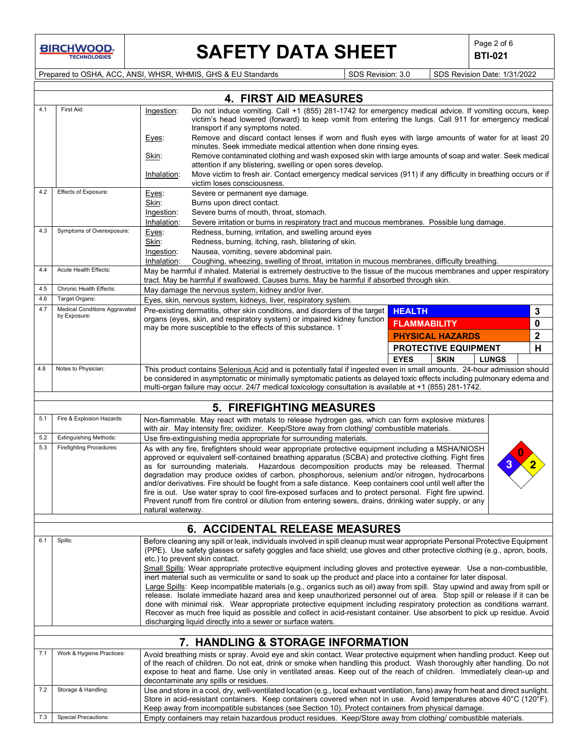# **SAFETY DATA SHEET**  $\left|\begin{array}{cc} \text{Page 2 of 6} \\ \text{BTI-021} \end{array}\right|$

**BTI-021**

Prepared to OSHA, ACC, ANSI, WHSR, WHMIS, GHS & EU Standards Superinted Superinted SDS Revision: 3.0 SDS Revision Date: 1/31/2022

|     | <b>4. FIRST AID MEASURES</b>                                                                                                                                                                                                                                                                                                                                                                                                                                                                                                                                                                                                  |                                                                                                                                                                                                                                                                                                                                                                                                                                                                                                                                                                                                                                                                                                                                                                 |                                                                                                                                                                                                                                                                                                                                                                |                             |                         |              |             |  |  |
|-----|-------------------------------------------------------------------------------------------------------------------------------------------------------------------------------------------------------------------------------------------------------------------------------------------------------------------------------------------------------------------------------------------------------------------------------------------------------------------------------------------------------------------------------------------------------------------------------------------------------------------------------|-----------------------------------------------------------------------------------------------------------------------------------------------------------------------------------------------------------------------------------------------------------------------------------------------------------------------------------------------------------------------------------------------------------------------------------------------------------------------------------------------------------------------------------------------------------------------------------------------------------------------------------------------------------------------------------------------------------------------------------------------------------------|----------------------------------------------------------------------------------------------------------------------------------------------------------------------------------------------------------------------------------------------------------------------------------------------------------------------------------------------------------------|-----------------------------|-------------------------|--------------|-------------|--|--|
| 4.1 | First Aid:                                                                                                                                                                                                                                                                                                                                                                                                                                                                                                                                                                                                                    | Ingestion:                                                                                                                                                                                                                                                                                                                                                                                                                                                                                                                                                                                                                                                                                                                                                      | Do not induce vomiting. Call +1 (855) 281-1742 for emergency medical advice. If vomiting occurs, keep<br>victim's head lowered (forward) to keep vomit from entering the lungs. Call 911 for emergency medical<br>transport if any symptoms noted.                                                                                                             |                             |                         |              |             |  |  |
|     |                                                                                                                                                                                                                                                                                                                                                                                                                                                                                                                                                                                                                               | Remove and discard contact lenses if worn and flush eyes with large amounts of water for at least 20<br>Eyes:<br>minutes. Seek immediate medical attention when done rinsing eyes.                                                                                                                                                                                                                                                                                                                                                                                                                                                                                                                                                                              |                                                                                                                                                                                                                                                                                                                                                                |                             |                         |              |             |  |  |
|     |                                                                                                                                                                                                                                                                                                                                                                                                                                                                                                                                                                                                                               | Skin:                                                                                                                                                                                                                                                                                                                                                                                                                                                                                                                                                                                                                                                                                                                                                           | Remove contaminated clothing and wash exposed skin with large amounts of soap and water. Seek medical<br>attention if any blistering, swelling or open sores develop.                                                                                                                                                                                          |                             |                         |              |             |  |  |
|     |                                                                                                                                                                                                                                                                                                                                                                                                                                                                                                                                                                                                                               | Inhalation:                                                                                                                                                                                                                                                                                                                                                                                                                                                                                                                                                                                                                                                                                                                                                     | Move victim to fresh air. Contact emergency medical services (911) if any difficulty in breathing occurs or if<br>victim loses consciousness.                                                                                                                                                                                                                  |                             |                         |              |             |  |  |
| 4.2 | Effects of Exposure:                                                                                                                                                                                                                                                                                                                                                                                                                                                                                                                                                                                                          | Eyes:                                                                                                                                                                                                                                                                                                                                                                                                                                                                                                                                                                                                                                                                                                                                                           | Severe or permanent eye damage.                                                                                                                                                                                                                                                                                                                                |                             |                         |              |             |  |  |
|     |                                                                                                                                                                                                                                                                                                                                                                                                                                                                                                                                                                                                                               | Skin:                                                                                                                                                                                                                                                                                                                                                                                                                                                                                                                                                                                                                                                                                                                                                           | Burns upon direct contact.                                                                                                                                                                                                                                                                                                                                     |                             |                         |              |             |  |  |
|     |                                                                                                                                                                                                                                                                                                                                                                                                                                                                                                                                                                                                                               | Ingestion:<br>Inhalation:                                                                                                                                                                                                                                                                                                                                                                                                                                                                                                                                                                                                                                                                                                                                       | Severe burns of mouth, throat, stomach.<br>Severe irritation or burns in respiratory tract and mucous membranes. Possible lung damage.                                                                                                                                                                                                                         |                             |                         |              |             |  |  |
| 4.3 | Symptoms of Overexposure:                                                                                                                                                                                                                                                                                                                                                                                                                                                                                                                                                                                                     | Eyes:                                                                                                                                                                                                                                                                                                                                                                                                                                                                                                                                                                                                                                                                                                                                                           | Redness, burning, irritation, and swelling around eyes                                                                                                                                                                                                                                                                                                         |                             |                         |              |             |  |  |
|     |                                                                                                                                                                                                                                                                                                                                                                                                                                                                                                                                                                                                                               | Skin:                                                                                                                                                                                                                                                                                                                                                                                                                                                                                                                                                                                                                                                                                                                                                           | Redness, burning, itching, rash, blistering of skin.                                                                                                                                                                                                                                                                                                           |                             |                         |              |             |  |  |
|     |                                                                                                                                                                                                                                                                                                                                                                                                                                                                                                                                                                                                                               | Ingestion:                                                                                                                                                                                                                                                                                                                                                                                                                                                                                                                                                                                                                                                                                                                                                      | Nausea, vomiting, severe abdominal pain.                                                                                                                                                                                                                                                                                                                       |                             |                         |              |             |  |  |
|     |                                                                                                                                                                                                                                                                                                                                                                                                                                                                                                                                                                                                                               | Inhalation:                                                                                                                                                                                                                                                                                                                                                                                                                                                                                                                                                                                                                                                                                                                                                     | Coughing, wheezing, swelling of throat, irritation in mucous membranes, difficulty breathing.                                                                                                                                                                                                                                                                  |                             |                         |              |             |  |  |
| 4.4 | Acute Health Effects:                                                                                                                                                                                                                                                                                                                                                                                                                                                                                                                                                                                                         |                                                                                                                                                                                                                                                                                                                                                                                                                                                                                                                                                                                                                                                                                                                                                                 | May be harmful if inhaled. Material is extremely destructive to the tissue of the mucous membranes and upper respiratory<br>tract. May be harmful if swallowed. Causes burns. May be harmful if absorbed through skin.                                                                                                                                         |                             |                         |              |             |  |  |
| 4.5 | Chronic Health Effects:                                                                                                                                                                                                                                                                                                                                                                                                                                                                                                                                                                                                       |                                                                                                                                                                                                                                                                                                                                                                                                                                                                                                                                                                                                                                                                                                                                                                 | May damage the nervous system, kidney and/or liver.                                                                                                                                                                                                                                                                                                            |                             |                         |              |             |  |  |
| 4.6 | Target Organs:                                                                                                                                                                                                                                                                                                                                                                                                                                                                                                                                                                                                                |                                                                                                                                                                                                                                                                                                                                                                                                                                                                                                                                                                                                                                                                                                                                                                 | Eyes, skin, nervous system, kidneys, liver, respiratory system.                                                                                                                                                                                                                                                                                                |                             |                         |              |             |  |  |
| 4.7 | <b>Medical Conditions Aggravated</b><br>by Exposure:                                                                                                                                                                                                                                                                                                                                                                                                                                                                                                                                                                          |                                                                                                                                                                                                                                                                                                                                                                                                                                                                                                                                                                                                                                                                                                                                                                 | Pre-existing dermatitis, other skin conditions, and disorders of the target                                                                                                                                                                                                                                                                                    | <b>HEALTH</b>               |                         |              | 3           |  |  |
|     |                                                                                                                                                                                                                                                                                                                                                                                                                                                                                                                                                                                                                               |                                                                                                                                                                                                                                                                                                                                                                                                                                                                                                                                                                                                                                                                                                                                                                 | organs (eyes, skin, and respiratory system) or impaired kidney function<br>may be more susceptible to the effects of this substance. 1                                                                                                                                                                                                                         | <b>FLAMMABILITY</b>         |                         |              | 0           |  |  |
|     |                                                                                                                                                                                                                                                                                                                                                                                                                                                                                                                                                                                                                               |                                                                                                                                                                                                                                                                                                                                                                                                                                                                                                                                                                                                                                                                                                                                                                 |                                                                                                                                                                                                                                                                                                                                                                |                             | <b>PHYSICAL HAZARDS</b> |              | $\mathbf 2$ |  |  |
|     |                                                                                                                                                                                                                                                                                                                                                                                                                                                                                                                                                                                                                               |                                                                                                                                                                                                                                                                                                                                                                                                                                                                                                                                                                                                                                                                                                                                                                 |                                                                                                                                                                                                                                                                                                                                                                | <b>PROTECTIVE EQUIPMENT</b> |                         |              | Н           |  |  |
|     |                                                                                                                                                                                                                                                                                                                                                                                                                                                                                                                                                                                                                               |                                                                                                                                                                                                                                                                                                                                                                                                                                                                                                                                                                                                                                                                                                                                                                 |                                                                                                                                                                                                                                                                                                                                                                | <b>EYES</b>                 | <b>SKIN</b>             | <b>LUNGS</b> |             |  |  |
| 4.8 | Notes to Physician:<br>This product contains Selenious Acid and is potentially fatal if ingested even in small amounts. 24-hour admission should<br>be considered in asymptomatic or minimally symptomatic patients as delayed toxic effects including pulmonary edema and<br>multi-organ failure may occur. 24/7 medical toxicology consultation is available at +1 (855) 281-1742.                                                                                                                                                                                                                                          |                                                                                                                                                                                                                                                                                                                                                                                                                                                                                                                                                                                                                                                                                                                                                                 |                                                                                                                                                                                                                                                                                                                                                                |                             |                         |              |             |  |  |
|     |                                                                                                                                                                                                                                                                                                                                                                                                                                                                                                                                                                                                                               |                                                                                                                                                                                                                                                                                                                                                                                                                                                                                                                                                                                                                                                                                                                                                                 |                                                                                                                                                                                                                                                                                                                                                                |                             |                         |              |             |  |  |
|     | <b>5. FIREFIGHTING MEASURES</b>                                                                                                                                                                                                                                                                                                                                                                                                                                                                                                                                                                                               |                                                                                                                                                                                                                                                                                                                                                                                                                                                                                                                                                                                                                                                                                                                                                                 |                                                                                                                                                                                                                                                                                                                                                                |                             |                         |              |             |  |  |
| 5.1 | Fire & Explosion Hazards:                                                                                                                                                                                                                                                                                                                                                                                                                                                                                                                                                                                                     |                                                                                                                                                                                                                                                                                                                                                                                                                                                                                                                                                                                                                                                                                                                                                                 | Non-flammable. May react with metals to release hydrogen gas, which can form explosive mixtures<br>with air. May intensity fire; oxidizer. Keep/Store away from clothing/ combustible materials.                                                                                                                                                               |                             |                         |              |             |  |  |
| 5.2 | <b>Extinguishing Methods:</b><br><b>Firefighting Procedures:</b>                                                                                                                                                                                                                                                                                                                                                                                                                                                                                                                                                              |                                                                                                                                                                                                                                                                                                                                                                                                                                                                                                                                                                                                                                                                                                                                                                 | Use fire-extinguishing media appropriate for surrounding materials.                                                                                                                                                                                                                                                                                            |                             |                         |              |             |  |  |
| 5.3 |                                                                                                                                                                                                                                                                                                                                                                                                                                                                                                                                                                                                                               | As with any fire, firefighters should wear appropriate protective equipment including a MSHA/NIOSH<br>approved or equivalent self-contained breathing apparatus (SCBA) and protective clothing. Fight fires<br>as for surrounding materials. Hazardous decomposition products may be released. Thermal<br>degradation may produce oxides of carbon, phosphorous, selenium and/or nitrogen, hydrocarbons<br>and/or derivatives. Fire should be fought from a safe distance. Keep containers cool until well after the<br>fire is out. Use water spray to cool fire-exposed surfaces and to protect personal. Fight fire upwind.<br>Prevent runoff from fire control or dilution from entering sewers, drains, drinking water supply, or any<br>natural waterway. |                                                                                                                                                                                                                                                                                                                                                                |                             |                         |              |             |  |  |
|     |                                                                                                                                                                                                                                                                                                                                                                                                                                                                                                                                                                                                                               |                                                                                                                                                                                                                                                                                                                                                                                                                                                                                                                                                                                                                                                                                                                                                                 | <b>6. ACCIDENTAL RELEASE MEASURES</b>                                                                                                                                                                                                                                                                                                                          |                             |                         |              |             |  |  |
| 6.1 | Spills:                                                                                                                                                                                                                                                                                                                                                                                                                                                                                                                                                                                                                       | Before cleaning any spill or leak, individuals involved in spill cleanup must wear appropriate Personal Protective Equipment<br>(PPE). Use safety glasses or safety goggles and face shield; use gloves and other protective clothing (e.g., apron, boots,<br>etc.) to prevent skin contact.<br>Small Spills: Wear appropriate protective equipment including gloves and protective eyewear. Use a non-combustible,                                                                                                                                                                                                                                                                                                                                             |                                                                                                                                                                                                                                                                                                                                                                |                             |                         |              |             |  |  |
|     | inert material such as vermiculite or sand to soak up the product and place into a container for later disposal.<br>Large Spills: Keep incompatible materials (e.g., organics such as oil) away from spill. Stay upwind and away from spill or<br>release. Isolate immediate hazard area and keep unauthorized personnel out of area. Stop spill or release if it can be<br>done with minimal risk. Wear appropriate protective equipment including respiratory protection as conditions warrant.<br>Recover as much free liquid as possible and collect in acid-resistant container. Use absorbent to pick up residue. Avoid |                                                                                                                                                                                                                                                                                                                                                                                                                                                                                                                                                                                                                                                                                                                                                                 |                                                                                                                                                                                                                                                                                                                                                                |                             |                         |              |             |  |  |
|     | discharging liquid directly into a sewer or surface waters.                                                                                                                                                                                                                                                                                                                                                                                                                                                                                                                                                                   |                                                                                                                                                                                                                                                                                                                                                                                                                                                                                                                                                                                                                                                                                                                                                                 |                                                                                                                                                                                                                                                                                                                                                                |                             |                         |              |             |  |  |
|     |                                                                                                                                                                                                                                                                                                                                                                                                                                                                                                                                                                                                                               |                                                                                                                                                                                                                                                                                                                                                                                                                                                                                                                                                                                                                                                                                                                                                                 | 7. HANDLING & STORAGE INFORMATION                                                                                                                                                                                                                                                                                                                              |                             |                         |              |             |  |  |
| 7.1 | Work & Hygiene Practices:<br>Avoid breathing mists or spray. Avoid eye and skin contact. Wear protective equipment when handling product. Keep out<br>of the reach of children. Do not eat, drink or smoke when handling this product. Wash thoroughly after handling. Do not<br>expose to heat and flame. Use only in ventilated areas. Keep out of the reach of children. Immediately clean-up and<br>decontaminate any spills or residues.                                                                                                                                                                                 |                                                                                                                                                                                                                                                                                                                                                                                                                                                                                                                                                                                                                                                                                                                                                                 |                                                                                                                                                                                                                                                                                                                                                                |                             |                         |              |             |  |  |
| 7.2 | Storage & Handling:                                                                                                                                                                                                                                                                                                                                                                                                                                                                                                                                                                                                           |                                                                                                                                                                                                                                                                                                                                                                                                                                                                                                                                                                                                                                                                                                                                                                 | Use and store in a cool, dry, well-ventilated location (e.g., local exhaust ventilation, fans) away from heat and direct sunlight.<br>Store in acid-resistant containers. Keep containers covered when not in use. Avoid temperatures above 40°C (120°F).<br>Keep away from incompatible substances (see Section 10). Protect containers from physical damage. |                             |                         |              |             |  |  |
| 7.3 | <b>Special Precautions:</b>                                                                                                                                                                                                                                                                                                                                                                                                                                                                                                                                                                                                   |                                                                                                                                                                                                                                                                                                                                                                                                                                                                                                                                                                                                                                                                                                                                                                 | Empty containers may retain hazardous product residues. Keep/Store away from clothing/ combustible materials.                                                                                                                                                                                                                                                  |                             |                         |              |             |  |  |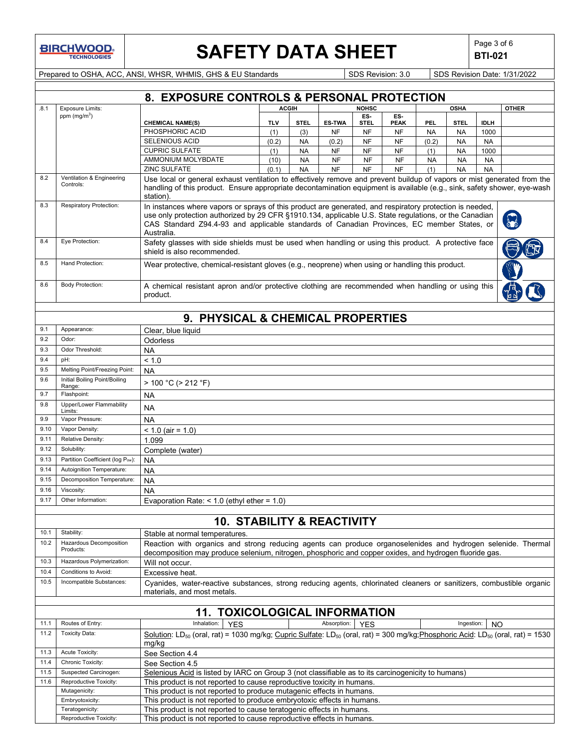

## **SAFETY DATA SHEET**  $\left|\begin{array}{c} \mathsf{Page 3 of 6} \\ \mathsf{BTI-021} \end{array}\right|$

**BTI-021**

Prepared to OSHA, ACC, ANSI, WHSR, WHMIS, GHS & EU Standards Superinted Superinted SDS Revision: 3.0 SDS Revision Date: 1/31/2022

|      | 8. EXPOSURE CONTROLS & PERSONAL PROTECTION                                                      |                                                                                                                                                                                                                                                                                                                                |            |              |               |                    |                    |           |             |             |              |
|------|-------------------------------------------------------------------------------------------------|--------------------------------------------------------------------------------------------------------------------------------------------------------------------------------------------------------------------------------------------------------------------------------------------------------------------------------|------------|--------------|---------------|--------------------|--------------------|-----------|-------------|-------------|--------------|
| .8.1 | <b>Exposure Limits:</b>                                                                         |                                                                                                                                                                                                                                                                                                                                |            | <b>ACGIH</b> |               | <b>NOHSC</b>       |                    |           | <b>OSHA</b> |             | <b>OTHER</b> |
|      | ppm $(mg/m^3)$                                                                                  | <b>CHEMICAL NAME(S)</b>                                                                                                                                                                                                                                                                                                        | <b>TLV</b> | <b>STEL</b>  | <b>ES-TWA</b> | ES.<br><b>STEL</b> | ES-<br><b>PEAK</b> | PEL       | <b>STEL</b> | <b>IDLH</b> |              |
|      |                                                                                                 | PHOSPHORIC ACID                                                                                                                                                                                                                                                                                                                | (1)        | (3)          | <b>NF</b>     | <b>NF</b>          | <b>NF</b>          | <b>NA</b> | <b>NA</b>   | 1000        |              |
|      |                                                                                                 | SELENIOUS ACID                                                                                                                                                                                                                                                                                                                 | (0.2)      | <b>NA</b>    | (0.2)         | <b>NF</b>          | <b>NF</b>          | (0.2)     | <b>NA</b>   | <b>NA</b>   |              |
|      |                                                                                                 | <b>CUPRIC SULFATE</b>                                                                                                                                                                                                                                                                                                          | (1)        | <b>NA</b>    | <b>NF</b>     | <b>NF</b>          | <b>NF</b>          | (1)       | <b>NA</b>   | 1000        |              |
|      |                                                                                                 | AMMONIUM MOLYBDATE                                                                                                                                                                                                                                                                                                             | (10)       | <b>NA</b>    | <b>NF</b>     | <b>NF</b>          | <b>NF</b>          | <b>NA</b> | <b>NA</b>   | <b>NA</b>   |              |
|      |                                                                                                 | <b>ZINC SULFATE</b>                                                                                                                                                                                                                                                                                                            | (0.1)      | <b>NA</b>    | <b>NF</b>     | <b>NF</b>          | <b>NF</b>          | (1)       | <b>NA</b>   | <b>NA</b>   |              |
| 8.2  | Ventilation & Engineering<br>Controls:                                                          | Use local or general exhaust ventilation to effectively remove and prevent buildup of vapors or mist generated from the<br>handling of this product. Ensure appropriate decontamination equipment is available (e.g., sink, safety shower, eye-wash<br>station).                                                               |            |              |               |                    |                    |           |             |             |              |
| 8.3  | Respiratory Protection:                                                                         | In instances where vapors or sprays of this product are generated, and respiratory protection is needed,<br>use only protection authorized by 29 CFR §1910.134, applicable U.S. State regulations, or the Canadian<br>CAS Standard Z94.4-93 and applicable standards of Canadian Provinces, EC member States, or<br>Australia. |            |              |               |                    |                    |           |             |             |              |
| 8.4  | Eye Protection:                                                                                 | Safety glasses with side shields must be used when handling or using this product. A protective face<br>shield is also recommended.                                                                                                                                                                                            |            |              |               |                    |                    |           |             |             |              |
| 8.5  | Hand Protection:                                                                                | Wear protective, chemical-resistant gloves (e.g., neoprene) when using or handling this product.                                                                                                                                                                                                                               |            |              |               |                    |                    |           |             |             |              |
| 8.6  | <b>Body Protection:</b>                                                                         | A chemical resistant apron and/or protective clothing are recommended when handling or using this<br>product.                                                                                                                                                                                                                  |            |              |               |                    |                    |           |             |             |              |
|      |                                                                                                 |                                                                                                                                                                                                                                                                                                                                |            |              |               |                    |                    |           |             |             |              |
|      |                                                                                                 | 9. PHYSICAL & CHEMICAL PROPERTIES                                                                                                                                                                                                                                                                                              |            |              |               |                    |                    |           |             |             |              |
| 9.1  | Appearance:                                                                                     | Clear, blue liquid                                                                                                                                                                                                                                                                                                             |            |              |               |                    |                    |           |             |             |              |
| 9.2  | Odor:                                                                                           | Odorless                                                                                                                                                                                                                                                                                                                       |            |              |               |                    |                    |           |             |             |              |
| 9.3  | Odor Threshold:                                                                                 | <b>NA</b>                                                                                                                                                                                                                                                                                                                      |            |              |               |                    |                    |           |             |             |              |
| 9.4  | pH:                                                                                             | < 1.0                                                                                                                                                                                                                                                                                                                          |            |              |               |                    |                    |           |             |             |              |
| 9.5  | Melting Point/Freezing Point:                                                                   | <b>NA</b>                                                                                                                                                                                                                                                                                                                      |            |              |               |                    |                    |           |             |             |              |
| 9.6  | Initial Boiling Point/Boiling<br>Range:                                                         | $> 100 °C$ ( $> 212 °F$ )                                                                                                                                                                                                                                                                                                      |            |              |               |                    |                    |           |             |             |              |
| 9.7  | Flashpoint:                                                                                     | <b>NA</b>                                                                                                                                                                                                                                                                                                                      |            |              |               |                    |                    |           |             |             |              |
| 9.8  | Upper/Lower Flammability<br>Limits:                                                             | NA                                                                                                                                                                                                                                                                                                                             |            |              |               |                    |                    |           |             |             |              |
| 9.9  | Vapor Pressure:                                                                                 | <b>NA</b>                                                                                                                                                                                                                                                                                                                      |            |              |               |                    |                    |           |             |             |              |
| 9.10 | Vapor Density:                                                                                  | $< 1.0$ (air = 1.0)                                                                                                                                                                                                                                                                                                            |            |              |               |                    |                    |           |             |             |              |
| 9.11 | Relative Density:                                                                               | 1.099                                                                                                                                                                                                                                                                                                                          |            |              |               |                    |                    |           |             |             |              |
| 9.12 | Solubility:                                                                                     | Complete (water)                                                                                                                                                                                                                                                                                                               |            |              |               |                    |                    |           |             |             |              |
| 9.13 | Partition Coefficient (log Pow):                                                                |                                                                                                                                                                                                                                                                                                                                |            |              |               |                    |                    |           |             |             |              |
| 9.14 | Autoignition Temperature:                                                                       | <b>NA</b>                                                                                                                                                                                                                                                                                                                      |            |              |               |                    |                    |           |             |             |              |
| 9.15 | Decomposition Temperature:                                                                      | <b>NA</b>                                                                                                                                                                                                                                                                                                                      |            |              |               |                    |                    |           |             |             |              |
|      |                                                                                                 | <b>NA</b>                                                                                                                                                                                                                                                                                                                      |            |              |               |                    |                    |           |             |             |              |
| 9.16 | Viscosity:                                                                                      | <b>NA</b>                                                                                                                                                                                                                                                                                                                      |            |              |               |                    |                    |           |             |             |              |
| 9.17 | Other Information:                                                                              | Evaporation Rate: $<$ 1.0 (ethyl ether = 1.0)                                                                                                                                                                                                                                                                                  |            |              |               |                    |                    |           |             |             |              |
|      |                                                                                                 |                                                                                                                                                                                                                                                                                                                                |            |              |               |                    |                    |           |             |             |              |
|      |                                                                                                 | <b>10. STABILITY &amp; REACTIVITY</b>                                                                                                                                                                                                                                                                                          |            |              |               |                    |                    |           |             |             |              |
| 10.1 | Stability:                                                                                      | Stable at normal temperatures.                                                                                                                                                                                                                                                                                                 |            |              |               |                    |                    |           |             |             |              |
| 10.2 | Hazardous Decomposition<br>Products:                                                            | Reaction with organics and strong reducing agents can produce organoselenides and hydrogen selenide. Thermal                                                                                                                                                                                                                   |            |              |               |                    |                    |           |             |             |              |
| 10.3 | Hazardous Polymerization:                                                                       | decomposition may produce selenium, nitrogen, phosphoric and copper oxides, and hydrogen fluoride gas.<br>Will not occur.                                                                                                                                                                                                      |            |              |               |                    |                    |           |             |             |              |
| 10.4 | Conditions to Avoid:                                                                            | Excessive heat.                                                                                                                                                                                                                                                                                                                |            |              |               |                    |                    |           |             |             |              |
| 10.5 | Incompatible Substances:                                                                        | Cyanides, water-reactive substances, strong reducing agents, chlorinated cleaners or sanitizers, combustible organic                                                                                                                                                                                                           |            |              |               |                    |                    |           |             |             |              |
|      |                                                                                                 | materials, and most metals.                                                                                                                                                                                                                                                                                                    |            |              |               |                    |                    |           |             |             |              |
|      |                                                                                                 |                                                                                                                                                                                                                                                                                                                                |            |              |               |                    |                    |           |             |             |              |
|      |                                                                                                 | <b>11. TOXICOLOGICAL INFORMATION</b>                                                                                                                                                                                                                                                                                           |            |              |               |                    |                    |           |             |             |              |
| 11.1 | Routes of Entry:                                                                                | Inhalation:<br><b>YES</b>                                                                                                                                                                                                                                                                                                      |            |              | Absorption:   | <b>YES</b>         |                    |           | Ingestion:  | NO          |              |
| 11.2 | <b>Toxicity Data:</b>                                                                           | Solution: LD <sub>50</sub> (oral, rat) = 1030 mg/kg; Cupric Sulfate: LD <sub>50</sub> (oral, rat) = 300 mg/kg; Phosphoric Acid: LD <sub>50</sub> (oral, rat) = 1530                                                                                                                                                            |            |              |               |                    |                    |           |             |             |              |
|      |                                                                                                 | mg/kg                                                                                                                                                                                                                                                                                                                          |            |              |               |                    |                    |           |             |             |              |
| 11.3 | Acute Toxicity:                                                                                 | See Section 4.4                                                                                                                                                                                                                                                                                                                |            |              |               |                    |                    |           |             |             |              |
| 11.4 | Chronic Toxicity:                                                                               | See Section 4.5                                                                                                                                                                                                                                                                                                                |            |              |               |                    |                    |           |             |             |              |
| 11.5 | Suspected Carcinogen:                                                                           | Selenious Acid is listed by IARC on Group 3 (not classifiable as to its carcinogenicity to humans)                                                                                                                                                                                                                             |            |              |               |                    |                    |           |             |             |              |
| 11.6 | Reproductive Toxicity:                                                                          | This product is not reported to cause reproductive toxicity in humans.                                                                                                                                                                                                                                                         |            |              |               |                    |                    |           |             |             |              |
|      | Mutagenicity:                                                                                   | This product is not reported to produce mutagenic effects in humans.                                                                                                                                                                                                                                                           |            |              |               |                    |                    |           |             |             |              |
|      | Embryotoxicity:                                                                                 | This product is not reported to produce embryotoxic effects in humans.                                                                                                                                                                                                                                                         |            |              |               |                    |                    |           |             |             |              |
|      | Teratogenicity:                                                                                 | This product is not reported to cause teratogenic effects in humans.                                                                                                                                                                                                                                                           |            |              |               |                    |                    |           |             |             |              |
|      | This product is not reported to cause reproductive effects in humans.<br>Reproductive Toxicity: |                                                                                                                                                                                                                                                                                                                                |            |              |               |                    |                    |           |             |             |              |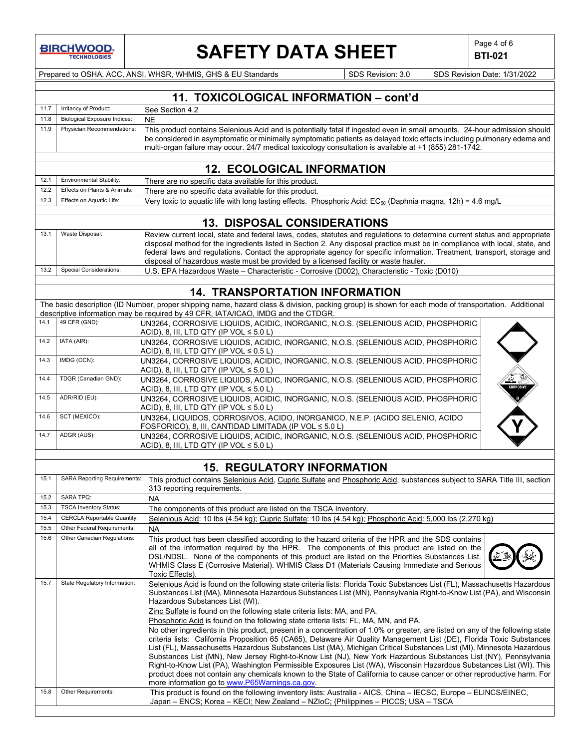# **SAFETY DATA SHEET**  $\left|\begin{array}{cc} \text{Page 4 of 6} \\ \text{BTI-021} \end{array}\right|$

**BTI-021**

Prepared to OSHA, ACC, ANSI, WHSR, WHMIS, GHS & EU Standards Superintendial SDS Revision: 3.0 SDS Revision Date: 1/31/2022

|      |                                     | 11. TOXICOLOGICAL INFORMATION - cont'd                                                                                                                                                                                                            |
|------|-------------------------------------|---------------------------------------------------------------------------------------------------------------------------------------------------------------------------------------------------------------------------------------------------|
| 11.7 | Irritancy of Product:               | See Section 4.2                                                                                                                                                                                                                                   |
| 11.8 | <b>Biological Exposure Indices:</b> | <b>NE</b>                                                                                                                                                                                                                                         |
| 11.9 | Physician Recommendations:          | This product contains Selenious Acid and is potentially fatal if ingested even in small amounts. 24-hour admission should                                                                                                                         |
|      |                                     | be considered in asymptomatic or minimally symptomatic patients as delayed toxic effects including pulmonary edema and                                                                                                                            |
|      |                                     | multi-organ failure may occur. 24/7 medical toxicology consultation is available at +1 (855) 281-1742.                                                                                                                                            |
|      |                                     |                                                                                                                                                                                                                                                   |
|      |                                     | <b>12. ECOLOGICAL INFORMATION</b>                                                                                                                                                                                                                 |
| 12.1 | Environmental Stability:            | There are no specific data available for this product.                                                                                                                                                                                            |
| 12.2 | Effects on Plants & Animals:        | There are no specific data available for this product.                                                                                                                                                                                            |
| 12.3 | Effects on Aquatic Life:            | Very toxic to aquatic life with long lasting effects. Phosphoric Acid: EC <sub>50</sub> (Daphnia magna, 12h) = 4.6 mg/L                                                                                                                           |
|      |                                     |                                                                                                                                                                                                                                                   |
|      |                                     | <b>13. DISPOSAL CONSIDERATIONS</b>                                                                                                                                                                                                                |
| 13.1 | Waste Disposal:                     | Review current local, state and federal laws, codes, statutes and regulations to determine current status and appropriate                                                                                                                         |
|      |                                     | disposal method for the ingredients listed in Section 2. Any disposal practice must be in compliance with local, state, and                                                                                                                       |
|      |                                     | federal laws and regulations. Contact the appropriate agency for specific information. Treatment, transport, storage and                                                                                                                          |
|      | <b>Special Considerations:</b>      | disposal of hazardous waste must be provided by a licensed facility or waste hauler.                                                                                                                                                              |
| 13.2 |                                     | U.S. EPA Hazardous Waste - Characteristic - Corrosive (D002), Characteristic - Toxic (D010)                                                                                                                                                       |
|      |                                     |                                                                                                                                                                                                                                                   |
|      |                                     | <b>14. TRANSPORTATION INFORMATION</b>                                                                                                                                                                                                             |
|      |                                     | The basic description (ID Number, proper shipping name, hazard class & division, packing group) is shown for each mode of transportation. Additional                                                                                              |
| 14.1 |                                     | descriptive information may be required by 49 CFR, IATA/ICAO, IMDG and the CTDGR.                                                                                                                                                                 |
|      | 49 CFR (GND):                       | UN3264, CORROSIVE LIQUIDS, ACIDIC, INORGANIC, N.O.S. (SELENIOUS ACID, PHOSPHORIC                                                                                                                                                                  |
| 14.2 | IATA (AIR):                         | ACID), 8, III, LTD QTY (IP VOL $\leq 5.0$ L)<br>UN3264, CORROSIVE LIQUIDS, ACIDIC, INORGANIC, N.O.S. (SELENIOUS ACID, PHOSPHORIC                                                                                                                  |
|      |                                     | ACID), 8, III, LTD QTY (IP VOL $\leq 0.5$ L)                                                                                                                                                                                                      |
| 14.3 | IMDG (OCN):                         | UN3264, CORROSIVE LIQUIDS, ACIDIC, INORGANIC, N.O.S. (SELENIOUS ACID, PHOSPHORIC                                                                                                                                                                  |
|      |                                     | ACID), 8, III, LTD QTY (IP VOL $\leq 5.0$ L)                                                                                                                                                                                                      |
| 14.4 | TDGR (Canadian GND):                | UN3264, CORROSIVE LIQUIDS, ACIDIC, INORGANIC, N.O.S. (SELENIOUS ACID, PHOSPHORIC                                                                                                                                                                  |
|      |                                     | ACID), 8, III, LTD QTY (IP VOL $\leq 5.0$ L)                                                                                                                                                                                                      |
| 14.5 | ADR/RID (EU):                       | UN3264, CORROSIVE LIQUIDS, ACIDIC, INORGANIC, N.O.S. (SELENIOUS ACID, PHOSPHORIC                                                                                                                                                                  |
|      |                                     | ACID), 8, III, LTD QTY (IP VOL $\leq 5.0$ L)                                                                                                                                                                                                      |
| 14.6 | SCT (MEXICO):                       | UN3264, LIQUIDOS, CORROSIVOS, ACIDO, INORGANICO, N.E.P. (ACIDO SELENIO, ACIDO                                                                                                                                                                     |
| 14.7 | ADGR (AUS):                         | FOSFORICO), 8, III, CANTIDAD LIMITADA (IP VOL ≤ 5.0 L)<br>UN3264, CORROSIVE LIQUIDS, ACIDIC, INORGANIC, N.O.S. (SELENIOUS ACID, PHOSPHORIC                                                                                                        |
|      |                                     | ACID), 8, III, LTD QTY (IP VOL $\leq 5.0$ L)                                                                                                                                                                                                      |
|      |                                     |                                                                                                                                                                                                                                                   |
|      |                                     | <b>15. REGULATORY INFORMATION</b>                                                                                                                                                                                                                 |
| 15.1 | <b>SARA Reporting Requirements:</b> |                                                                                                                                                                                                                                                   |
|      |                                     | This product contains Selenious Acid, Cupric Sulfate and Phosphoric Acid, substances subject to SARA Title III, section<br>313 reporting requirements.                                                                                            |
| 15.2 | <b>SARA TPQ:</b>                    | <b>NA</b>                                                                                                                                                                                                                                         |
| 15.3 | <b>TSCA Inventory Status:</b>       | The components of this product are listed on the TSCA Inventory.                                                                                                                                                                                  |
| 15.4 | <b>CERCLA Reportable Quantity:</b>  | Selenious Acid: 10 lbs (4.54 kg); Cupric Sulfate: 10 lbs (4.54 kg); Phosphoric Acid: 5,000 lbs (2,270 kg)                                                                                                                                         |
| 15.5 | Other Federal Requirements:         | NA                                                                                                                                                                                                                                                |
| 15.6 | Other Canadian Regulations:         | This product has been classified according to the hazard criteria of the HPR and the SDS contains                                                                                                                                                 |
|      |                                     | all of the information required by the HPR. The components of this product are listed on the                                                                                                                                                      |
|      |                                     | DSL/NDSL. None of the components of this product are listed on the Priorities Substances List.                                                                                                                                                    |
|      |                                     | WHMIS Class E (Corrosive Material). WHMIS Class D1 (Materials Causing Immediate and Serious                                                                                                                                                       |
| 15.7 | State Regulatory Information:       | Toxic Effects).                                                                                                                                                                                                                                   |
|      |                                     | Selenious Acid is found on the following state criteria lists: Florida Toxic Substances List (FL), Massachusetts Hazardous<br>Substances List (MA), Minnesota Hazardous Substances List (MN), Pennsylvania Right-to-Know List (PA), and Wisconsin |
|      |                                     | Hazardous Substances List (WI).                                                                                                                                                                                                                   |
|      |                                     | Zinc Sulfate is found on the following state criteria lists: MA, and PA.                                                                                                                                                                          |
|      |                                     | Phosphoric Acid is found on the following state criteria lists: FL, MA, MN, and PA.                                                                                                                                                               |
|      |                                     | No other ingredients in this product, present in a concentration of 1.0% or greater, are listed on any of the following state                                                                                                                     |
|      |                                     | criteria lists: California Proposition 65 (CA65), Delaware Air Quality Management List (DE), Florida Toxic Substances                                                                                                                             |
|      |                                     | List (FL), Massachusetts Hazardous Substances List (MA), Michigan Critical Substances List (MI), Minnesota Hazardous                                                                                                                              |
|      |                                     | Substances List (MN), New Jersey Right-to-Know List (NJ), New York Hazardous Substances List (NY), Pennsylvania<br>Right-to-Know List (PA), Washington Permissible Exposures List (WA), Wisconsin Hazardous Substances List (WI). This            |
|      |                                     | product does not contain any chemicals known to the State of California to cause cancer or other reproductive harm. For                                                                                                                           |

more information go to <u>www.P65Warnings.ca.gov</u>.

15.8 Other Requirements: This product is found on the following inventory lists: Australia - AICS, China – IECSC, Europe – ELINCS/EINEC,

Japan – ENCS; Korea – KECI; New Zealand – NZIoC; {Philippines – PICCS; USA – TSCA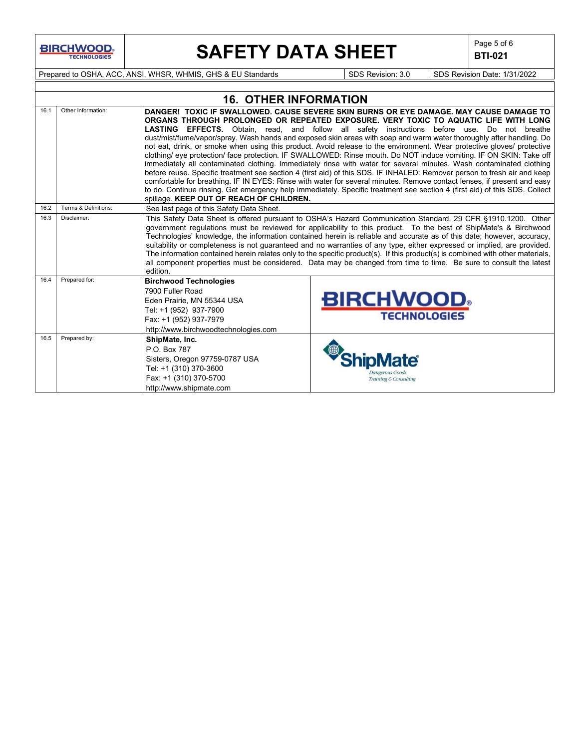# **SAFETY DATA SHEET**  $\left|\begin{array}{cc} \text{Page 5 of 6} \\ \text{BIT-021} \end{array}\right|$

**BTI-021**

Prepared to OSHA, ACC, ANSI, WHSR, WHMIS, GHS & EU Standards Superinted SDS Revision: 3.0 SDS Revision Date: 1/31/2022

|      |                      | <b>16. OTHER INFORMATION</b>                                                                                                                                                                                                                                                                                                                                                                                                                                                                                                                                                                                                                                                                                                                                                                                                                                                                                                                                                                                                                                                                                                                                                                                  |                                         |  |  |  |  |  |
|------|----------------------|---------------------------------------------------------------------------------------------------------------------------------------------------------------------------------------------------------------------------------------------------------------------------------------------------------------------------------------------------------------------------------------------------------------------------------------------------------------------------------------------------------------------------------------------------------------------------------------------------------------------------------------------------------------------------------------------------------------------------------------------------------------------------------------------------------------------------------------------------------------------------------------------------------------------------------------------------------------------------------------------------------------------------------------------------------------------------------------------------------------------------------------------------------------------------------------------------------------|-----------------------------------------|--|--|--|--|--|
| 16.1 | Other Information:   | DANGER! TOXIC IF SWALLOWED, CAUSE SEVERE SKIN BURNS OR EYE DAMAGE. MAY CAUSE DAMAGE TO<br>ORGANS THROUGH PROLONGED OR REPEATED EXPOSURE. VERY TOXIC TO AQUATIC LIFE WITH LONG<br>LASTING EFFECTS. Obtain, read, and follow all safety instructions before use. Do not breathe<br>dust/mist/fume/vapor/spray. Wash hands and exposed skin areas with soap and warm water thoroughly after handling. Do<br>not eat, drink, or smoke when using this product. Avoid release to the environment. Wear protective gloves/ protective<br>clothing/ eye protection/ face protection. IF SWALLOWED: Rinse mouth. Do NOT induce vomiting. IF ON SKIN: Take off<br>immediately all contaminated clothing. Immediately rinse with water for several minutes. Wash contaminated clothing<br>before reuse. Specific treatment see section 4 (first aid) of this SDS. IF INHALED: Remover person to fresh air and keep<br>comfortable for breathing. IF IN EYES: Rinse with water for several minutes. Remove contact lenses, if present and easy<br>to do. Continue rinsing. Get emergency help immediately. Specific treatment see section 4 (first aid) of this SDS. Collect<br>spillage. KEEP OUT OF REACH OF CHILDREN. |                                         |  |  |  |  |  |
| 16.2 | Terms & Definitions: | See last page of this Safety Data Sheet.                                                                                                                                                                                                                                                                                                                                                                                                                                                                                                                                                                                                                                                                                                                                                                                                                                                                                                                                                                                                                                                                                                                                                                      |                                         |  |  |  |  |  |
| 16.3 | Disclaimer:          | This Safety Data Sheet is offered pursuant to OSHA's Hazard Communication Standard, 29 CFR §1910.1200. Other<br>government regulations must be reviewed for applicability to this product. To the best of ShipMate's & Birchwood<br>Technologies' knowledge, the information contained herein is reliable and accurate as of this date; however, accuracy,<br>suitability or completeness is not guaranteed and no warranties of any type, either expressed or implied, are provided.<br>The information contained herein relates only to the specific product(s). If this product(s) is combined with other materials,<br>all component properties must be considered. Data may be changed from time to time. Be sure to consult the latest<br>edition.                                                                                                                                                                                                                                                                                                                                                                                                                                                      |                                         |  |  |  |  |  |
| 16.4 | Prepared for:        | <b>Birchwood Technologies</b><br>7900 Fuller Road<br>Eden Prairie, MN 55344 USA<br>Tel: +1 (952) 937-7900<br>Fax: +1 (952) 937-7979<br>http://www.birchwoodtechnologies.com                                                                                                                                                                                                                                                                                                                                                                                                                                                                                                                                                                                                                                                                                                                                                                                                                                                                                                                                                                                                                                   | <b>BIRCHWOOD</b><br><b>TECHNOLOGIES</b> |  |  |  |  |  |
| 16.5 | Prepared by:         | ShipMate, Inc.<br>P.O. Box 787<br>Sisters, Oregon 97759-0787 USA<br>Tel: +1 (310) 370-3600<br>Fax: +1 (310) 370-5700<br>http://www.shipmate.com                                                                                                                                                                                                                                                                                                                                                                                                                                                                                                                                                                                                                                                                                                                                                                                                                                                                                                                                                                                                                                                               | angerous Goods<br>Training & Consulting |  |  |  |  |  |